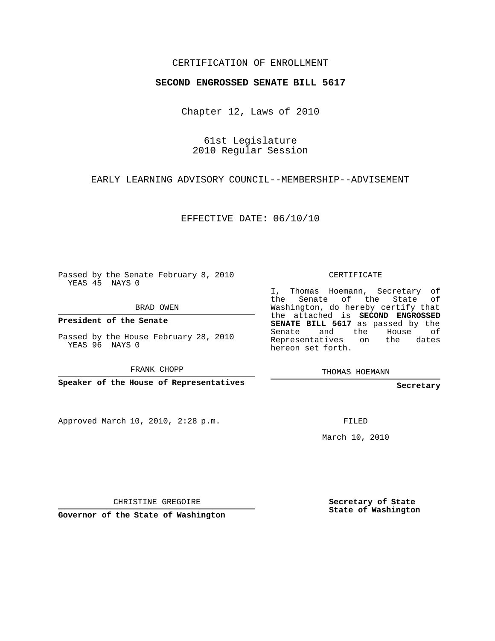## CERTIFICATION OF ENROLLMENT

#### **SECOND ENGROSSED SENATE BILL 5617**

Chapter 12, Laws of 2010

61st Legislature 2010 Regular Session

EARLY LEARNING ADVISORY COUNCIL--MEMBERSHIP--ADVISEMENT

EFFECTIVE DATE: 06/10/10

Passed by the Senate February 8, 2010 YEAS 45 NAYS 0

BRAD OWEN

**President of the Senate**

Passed by the House February 28, 2010 YEAS 96 NAYS 0

FRANK CHOPP

**Speaker of the House of Representatives**

Approved March 10, 2010, 2:28 p.m.

CERTIFICATE

I, Thomas Hoemann, Secretary of the Senate of the State of Washington, do hereby certify that the attached is **SECOND ENGROSSED SENATE BILL 5617** as passed by the Senate and the House of Representatives on the dates hereon set forth.

THOMAS HOEMANN

**Secretary**

FILED

March 10, 2010

CHRISTINE GREGOIRE

**Governor of the State of Washington**

**Secretary of State State of Washington**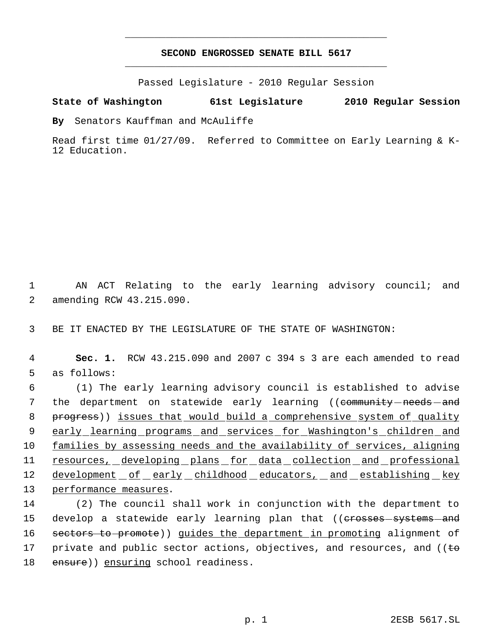# **SECOND ENGROSSED SENATE BILL 5617** \_\_\_\_\_\_\_\_\_\_\_\_\_\_\_\_\_\_\_\_\_\_\_\_\_\_\_\_\_\_\_\_\_\_\_\_\_\_\_\_\_\_\_\_\_

\_\_\_\_\_\_\_\_\_\_\_\_\_\_\_\_\_\_\_\_\_\_\_\_\_\_\_\_\_\_\_\_\_\_\_\_\_\_\_\_\_\_\_\_\_

Passed Legislature - 2010 Regular Session

## **State of Washington 61st Legislature 2010 Regular Session**

**By** Senators Kauffman and McAuliffe

Read first time 01/27/09. Referred to Committee on Early Learning & K-12 Education.

 1 AN ACT Relating to the early learning advisory council; and 2 amending RCW 43.215.090.

3 BE IT ENACTED BY THE LEGISLATURE OF THE STATE OF WASHINGTON:

 4 **Sec. 1.** RCW 43.215.090 and 2007 c 394 s 3 are each amended to read 5 as follows:

 6 (1) The early learning advisory council is established to advise 7 the department on statewide early learning ((<del>community needs and</del> 8 progress)) issues that would build a comprehensive system of quality 9 early learning programs and services for Washington's children and 10 families by assessing needs and the availability of services, aligning 11 resources, developing plans for data collection and professional 12 development of early childhood educators, and establishing key 13 performance measures.

14 (2) The council shall work in conjunction with the department to 15 develop a statewide early learning plan that ((<del>crosses systems and</del> 16 sectors to promote)) guides the department in promoting alignment of 17 private and public sector actions, objectives, and resources, and ( $\epsilon$ 18 ensure)) ensuring school readiness.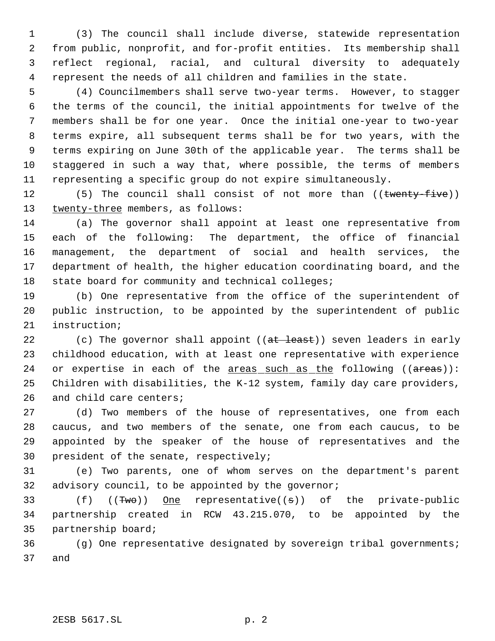(3) The council shall include diverse, statewide representation from public, nonprofit, and for-profit entities. Its membership shall reflect regional, racial, and cultural diversity to adequately represent the needs of all children and families in the state.

 (4) Councilmembers shall serve two-year terms. However, to stagger the terms of the council, the initial appointments for twelve of the members shall be for one year. Once the initial one-year to two-year terms expire, all subsequent terms shall be for two years, with the terms expiring on June 30th of the applicable year. The terms shall be staggered in such a way that, where possible, the terms of members representing a specific group do not expire simultaneously.

12 (5) The council shall consist of not more than ((twenty-five)) 13 twenty-three members, as follows:

 (a) The governor shall appoint at least one representative from each of the following: The department, the office of financial management, the department of social and health services, the department of health, the higher education coordinating board, and the state board for community and technical colleges;

 (b) One representative from the office of the superintendent of public instruction, to be appointed by the superintendent of public instruction;

22 (c) The governor shall appoint ((at least)) seven leaders in early childhood education, with at least one representative with experience 24 or expertise in each of the  $\frac{1}{2}$  areas such as the following (( $\frac{1}{2}$ ): Children with disabilities, the K-12 system, family day care providers, and child care centers;

 (d) Two members of the house of representatives, one from each caucus, and two members of the senate, one from each caucus, to be appointed by the speaker of the house of representatives and the president of the senate, respectively;

 (e) Two parents, one of whom serves on the department's parent advisory council, to be appointed by the governor;

33 (f) ((Two)) One representative((s)) of the private-public partnership created in RCW 43.215.070, to be appointed by the partnership board;

 (g) One representative designated by sovereign tribal governments; and